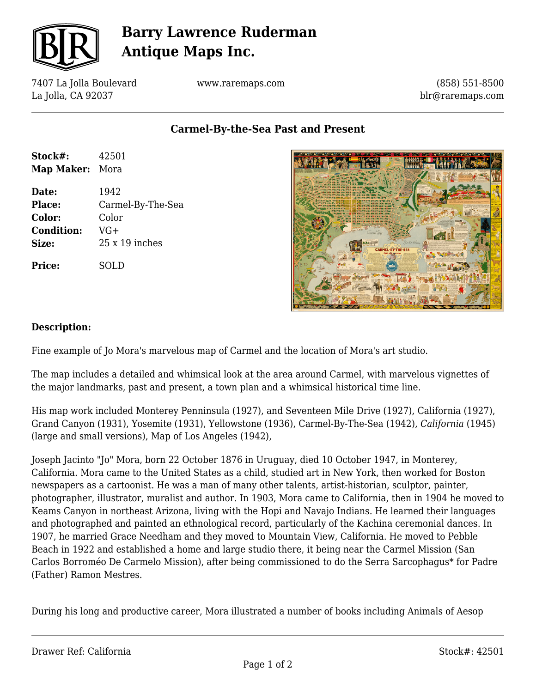

# **Barry Lawrence Ruderman Antique Maps Inc.**

7407 La Jolla Boulevard La Jolla, CA 92037

www.raremaps.com

(858) 551-8500 blr@raremaps.com

**Carmel-By-the-Sea Past and Present**

| Stock#:           | 42501                 |
|-------------------|-----------------------|
| <b>Map Maker:</b> | Mora                  |
| Date:             | 1942                  |
| Place:            | Carmel-By-The-Sea     |
| Color:            | Color                 |
| <b>Condition:</b> | $VG+$                 |
| Size:             | $25 \times 19$ inches |
| <b>Price:</b>     | SOLD                  |



#### **Description:**

Fine example of Jo Mora's marvelous map of Carmel and the location of Mora's art studio.

The map includes a detailed and whimsical look at the area around Carmel, with marvelous vignettes of the major landmarks, past and present, a town plan and a whimsical historical time line.

His map work included Monterey Penninsula (1927), and Seventeen Mile Drive (1927), California (1927), Grand Canyon (1931), Yosemite (1931), Yellowstone (1936), Carmel-By-The-Sea (1942), *California* (1945) (large and small versions), Map of Los Angeles (1942),

Joseph Jacinto "Jo" Mora, born 22 October 1876 in Uruguay, died 10 October 1947, in Monterey, California. Mora came to the United States as a child, studied art in New York, then worked for Boston newspapers as a cartoonist. He was a man of many other talents, artist-historian, sculptor, painter, photographer, illustrator, muralist and author. In 1903, Mora came to California, then in 1904 he moved to Keams Canyon in northeast Arizona, living with the Hopi and Navajo Indians. He learned their languages and photographed and painted an ethnological record, particularly of the Kachina ceremonial dances. In 1907, he married Grace Needham and they moved to Mountain View, California. He moved to Pebble Beach in 1922 and established a home and large studio there, it being near the Carmel Mission (San Carlos Borroméo De Carmelo Mission), after being commissioned to do the Serra Sarcophagus\* for Padre (Father) Ramon Mestres.

During his long and productive career, Mora illustrated a number of books including Animals of Aesop